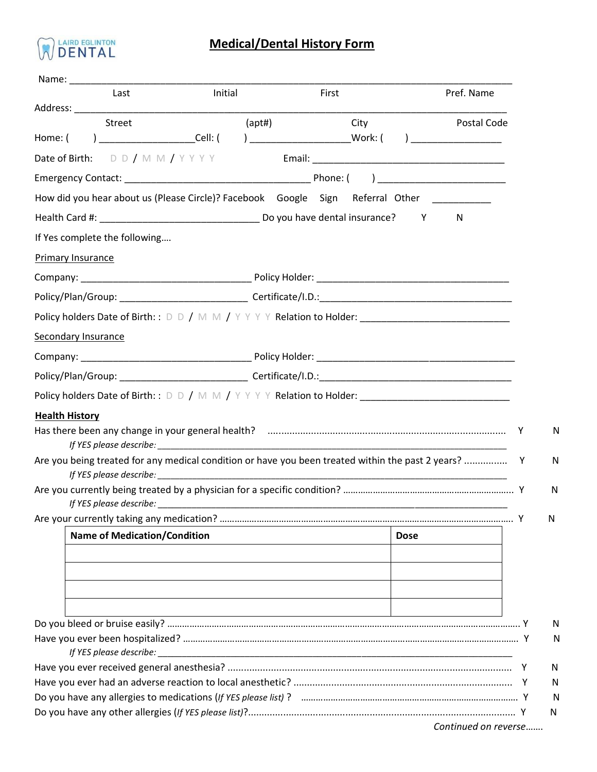

## **Medical/Dental History Form**

| Last                                | Initial                                                                                                        | First                                                          | Pref. Name  |
|-------------------------------------|----------------------------------------------------------------------------------------------------------------|----------------------------------------------------------------|-------------|
| Street                              | (apt#)                                                                                                         | City                                                           | Postal Code |
|                                     | Home: ( ) _____________________Cell: ( ) ________________________Work: ( ) ________________________            |                                                                |             |
| Date of Birth: $D D / M M / Y Y Y$  |                                                                                                                |                                                                |             |
|                                     |                                                                                                                |                                                                |             |
|                                     | How did you hear about us (Please Circle)? Facebook Google Sign Referral Other _________                       |                                                                |             |
|                                     |                                                                                                                |                                                                | N           |
| If Yes complete the following       |                                                                                                                |                                                                |             |
| Primary Insurance                   |                                                                                                                |                                                                |             |
|                                     |                                                                                                                |                                                                |             |
|                                     |                                                                                                                |                                                                |             |
|                                     | Policy holders Date of Birth: : D D / M M / Y Y Y Y Relation to Holder: ____________________________           |                                                                |             |
| <b>Secondary Insurance</b>          |                                                                                                                |                                                                |             |
|                                     |                                                                                                                |                                                                |             |
|                                     |                                                                                                                |                                                                |             |
|                                     | Policy holders Date of Birth: : D D / M M / Y Y Y Y Relation to Holder: ____________________________           |                                                                |             |
| <b>Health History</b>               |                                                                                                                |                                                                |             |
|                                     |                                                                                                                |                                                                |             |
|                                     | If YES please describe: experience and the set of the set of the set of the set of the set of the set of the s |                                                                |             |
|                                     |                                                                                                                |                                                                |             |
| <b>Name of Medication/Condition</b> |                                                                                                                | <b>Dose</b>                                                    |             |
|                                     |                                                                                                                |                                                                |             |
|                                     |                                                                                                                |                                                                |             |
|                                     |                                                                                                                |                                                                |             |
|                                     |                                                                                                                | <u> 1989 - Andrea Barbara, Amerikaansk politiker (d. 1989)</u> |             |
|                                     |                                                                                                                |                                                                |             |
|                                     |                                                                                                                |                                                                |             |
|                                     |                                                                                                                |                                                                |             |
|                                     |                                                                                                                |                                                                |             |
|                                     |                                                                                                                |                                                                |             |

*Continued on reverse*…….